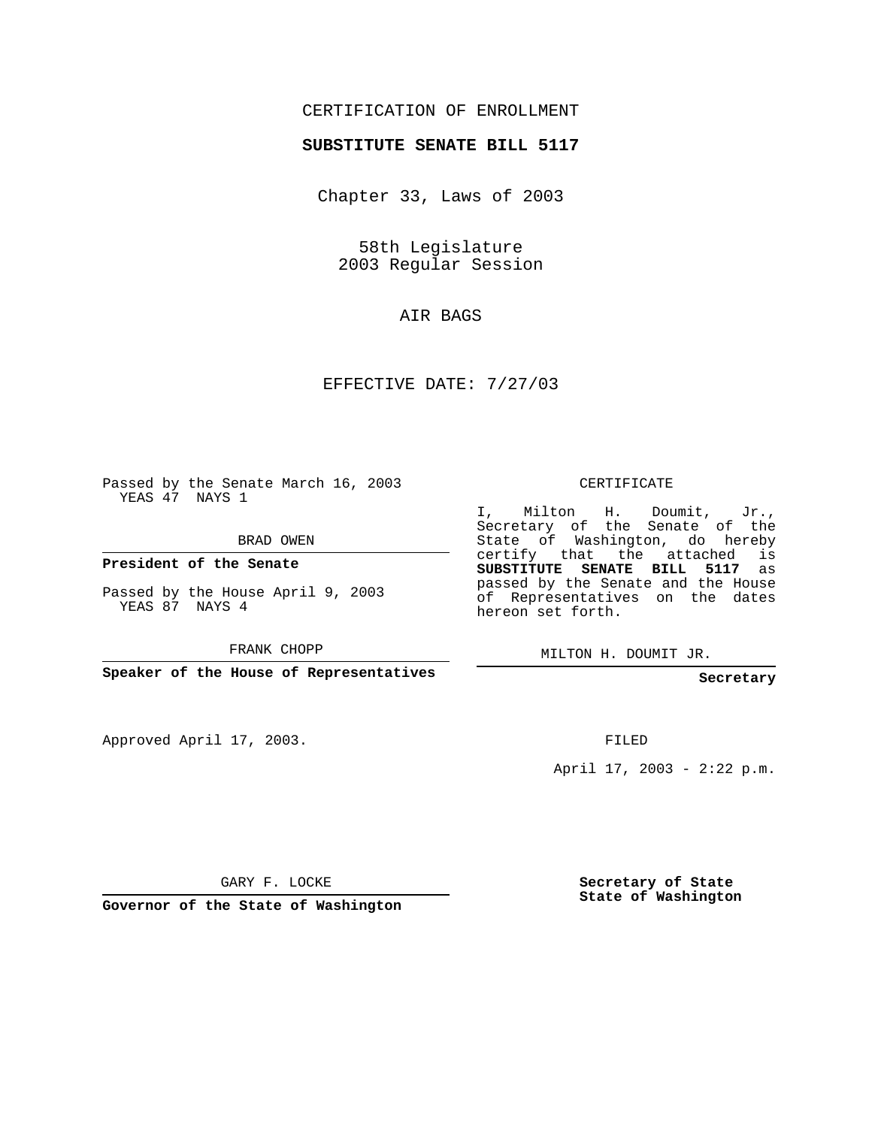## CERTIFICATION OF ENROLLMENT

## **SUBSTITUTE SENATE BILL 5117**

Chapter 33, Laws of 2003

58th Legislature 2003 Regular Session

AIR BAGS

EFFECTIVE DATE: 7/27/03

Passed by the Senate March 16, 2003 YEAS 47 NAYS 1

BRAD OWEN

**President of the Senate**

Passed by the House April 9, 2003 YEAS 87 NAYS 4

FRANK CHOPP

**Speaker of the House of Representatives**

Approved April 17, 2003.

CERTIFICATE

I, Milton H. Doumit, Jr., Secretary of the Senate of the State of Washington, do hereby certify that the attached is **SUBSTITUTE SENATE BILL 5117** as passed by the Senate and the House of Representatives on the dates hereon set forth.

MILTON H. DOUMIT JR.

**Secretary**

FILED

April 17, 2003 - 2:22 p.m.

GARY F. LOCKE

**Governor of the State of Washington**

**Secretary of State State of Washington**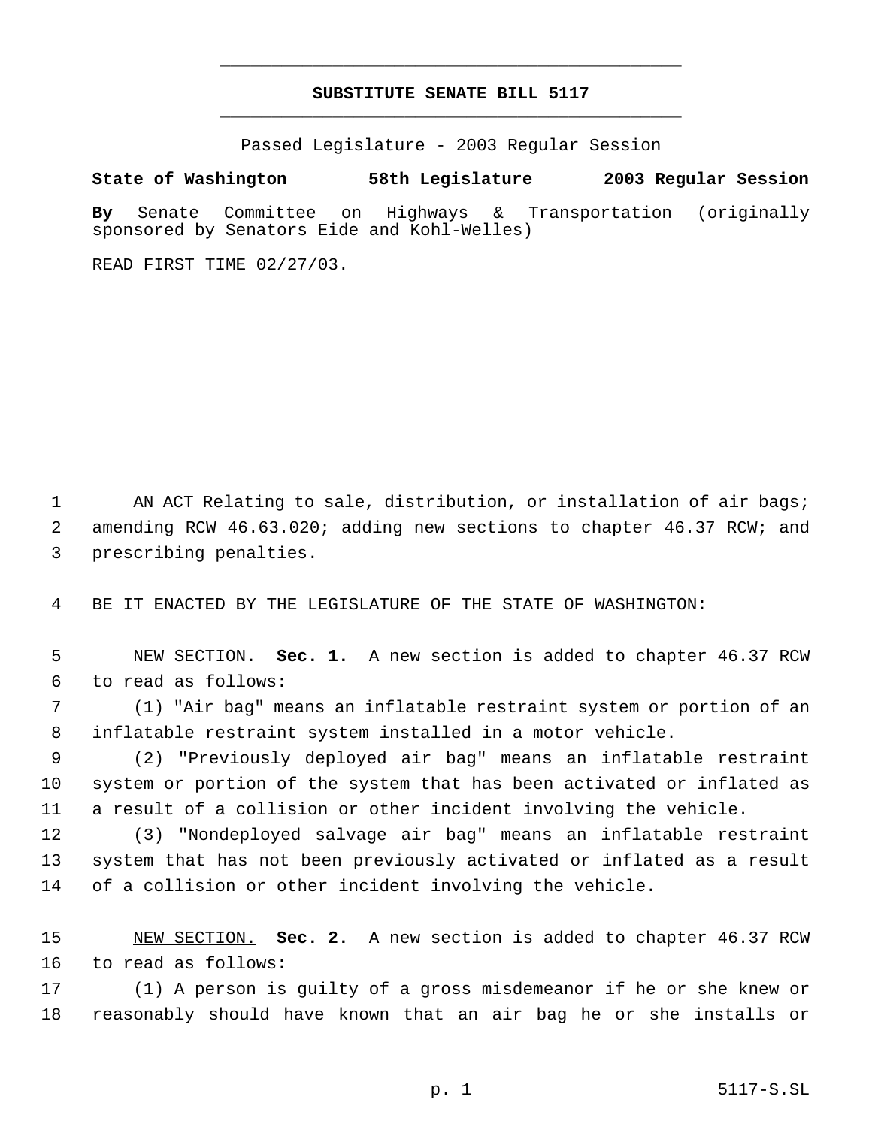## **SUBSTITUTE SENATE BILL 5117** \_\_\_\_\_\_\_\_\_\_\_\_\_\_\_\_\_\_\_\_\_\_\_\_\_\_\_\_\_\_\_\_\_\_\_\_\_\_\_\_\_\_\_\_\_

\_\_\_\_\_\_\_\_\_\_\_\_\_\_\_\_\_\_\_\_\_\_\_\_\_\_\_\_\_\_\_\_\_\_\_\_\_\_\_\_\_\_\_\_\_

Passed Legislature - 2003 Regular Session

## **State of Washington 58th Legislature 2003 Regular Session**

**By** Senate Committee on Highways & Transportation (originally sponsored by Senators Eide and Kohl-Welles)

READ FIRST TIME 02/27/03.

1 AN ACT Relating to sale, distribution, or installation of air bags; amending RCW 46.63.020; adding new sections to chapter 46.37 RCW; and prescribing penalties.

BE IT ENACTED BY THE LEGISLATURE OF THE STATE OF WASHINGTON:

 NEW SECTION. **Sec. 1.** A new section is added to chapter 46.37 RCW to read as follows:

 (1) "Air bag" means an inflatable restraint system or portion of an inflatable restraint system installed in a motor vehicle.

 (2) "Previously deployed air bag" means an inflatable restraint system or portion of the system that has been activated or inflated as a result of a collision or other incident involving the vehicle.

 (3) "Nondeployed salvage air bag" means an inflatable restraint system that has not been previously activated or inflated as a result of a collision or other incident involving the vehicle.

 NEW SECTION. **Sec. 2.** A new section is added to chapter 46.37 RCW to read as follows:

 (1) A person is guilty of a gross misdemeanor if he or she knew or reasonably should have known that an air bag he or she installs or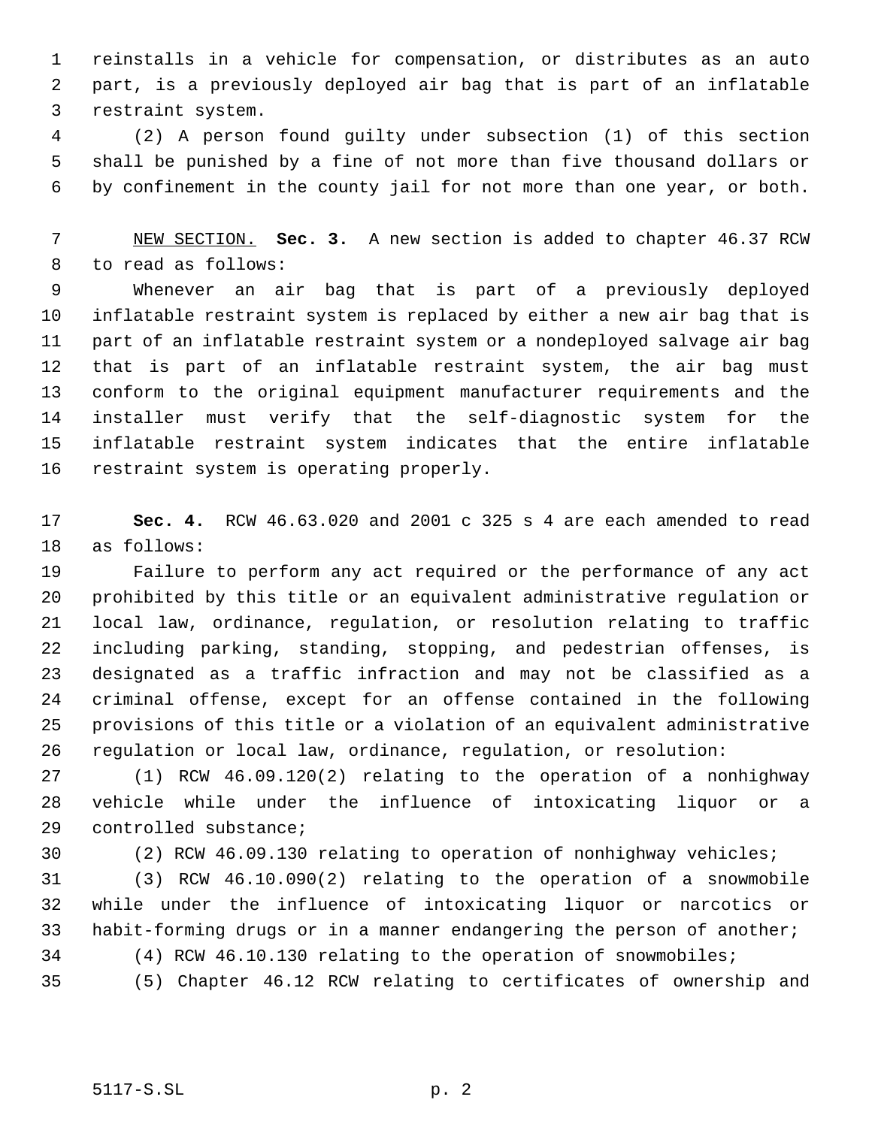reinstalls in a vehicle for compensation, or distributes as an auto part, is a previously deployed air bag that is part of an inflatable restraint system.

 (2) A person found guilty under subsection (1) of this section shall be punished by a fine of not more than five thousand dollars or by confinement in the county jail for not more than one year, or both.

 NEW SECTION. **Sec. 3.** A new section is added to chapter 46.37 RCW to read as follows:

 Whenever an air bag that is part of a previously deployed inflatable restraint system is replaced by either a new air bag that is part of an inflatable restraint system or a nondeployed salvage air bag that is part of an inflatable restraint system, the air bag must conform to the original equipment manufacturer requirements and the installer must verify that the self-diagnostic system for the inflatable restraint system indicates that the entire inflatable restraint system is operating properly.

 **Sec. 4.** RCW 46.63.020 and 2001 c 325 s 4 are each amended to read as follows:

 Failure to perform any act required or the performance of any act prohibited by this title or an equivalent administrative regulation or local law, ordinance, regulation, or resolution relating to traffic including parking, standing, stopping, and pedestrian offenses, is designated as a traffic infraction and may not be classified as a criminal offense, except for an offense contained in the following provisions of this title or a violation of an equivalent administrative regulation or local law, ordinance, regulation, or resolution:

 (1) RCW 46.09.120(2) relating to the operation of a nonhighway vehicle while under the influence of intoxicating liquor or a controlled substance;

(2) RCW 46.09.130 relating to operation of nonhighway vehicles;

 (3) RCW 46.10.090(2) relating to the operation of a snowmobile while under the influence of intoxicating liquor or narcotics or habit-forming drugs or in a manner endangering the person of another; (4) RCW 46.10.130 relating to the operation of snowmobiles;

(5) Chapter 46.12 RCW relating to certificates of ownership and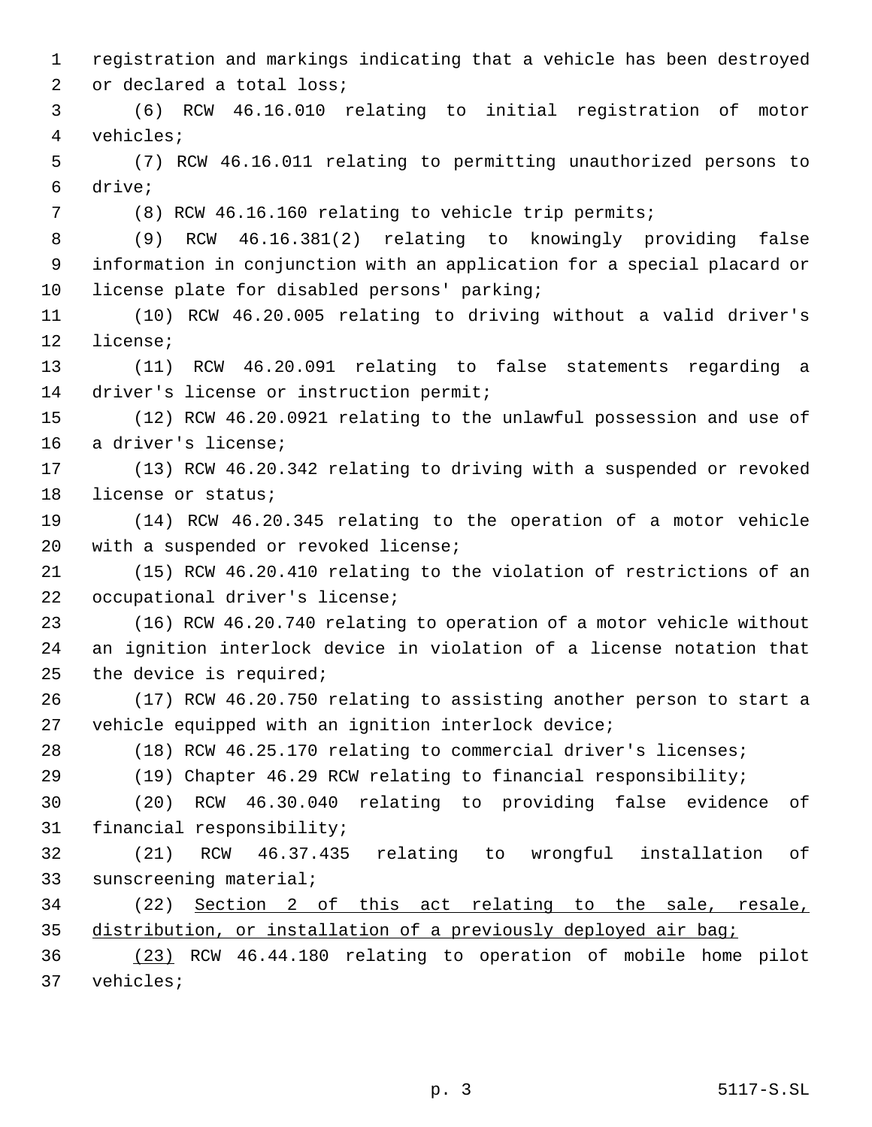registration and markings indicating that a vehicle has been destroyed or declared a total loss; (6) RCW 46.16.010 relating to initial registration of motor vehicles; (7) RCW 46.16.011 relating to permitting unauthorized persons to drive; (8) RCW 46.16.160 relating to vehicle trip permits; (9) RCW 46.16.381(2) relating to knowingly providing false information in conjunction with an application for a special placard or license plate for disabled persons' parking; (10) RCW 46.20.005 relating to driving without a valid driver's license; (11) RCW 46.20.091 relating to false statements regarding a 14 driver's license or instruction permit; (12) RCW 46.20.0921 relating to the unlawful possession and use of a driver's license; (13) RCW 46.20.342 relating to driving with a suspended or revoked license or status; (14) RCW 46.20.345 relating to the operation of a motor vehicle with a suspended or revoked license; (15) RCW 46.20.410 relating to the violation of restrictions of an occupational driver's license; (16) RCW 46.20.740 relating to operation of a motor vehicle without an ignition interlock device in violation of a license notation that the device is required; (17) RCW 46.20.750 relating to assisting another person to start a vehicle equipped with an ignition interlock device; (18) RCW 46.25.170 relating to commercial driver's licenses; (19) Chapter 46.29 RCW relating to financial responsibility; (20) RCW 46.30.040 relating to providing false evidence of financial responsibility; (21) RCW 46.37.435 relating to wrongful installation of sunscreening material; (22) Section 2 of this act relating to the sale, resale, distribution, or installation of a previously deployed air bag; (23) RCW 46.44.180 relating to operation of mobile home pilot vehicles;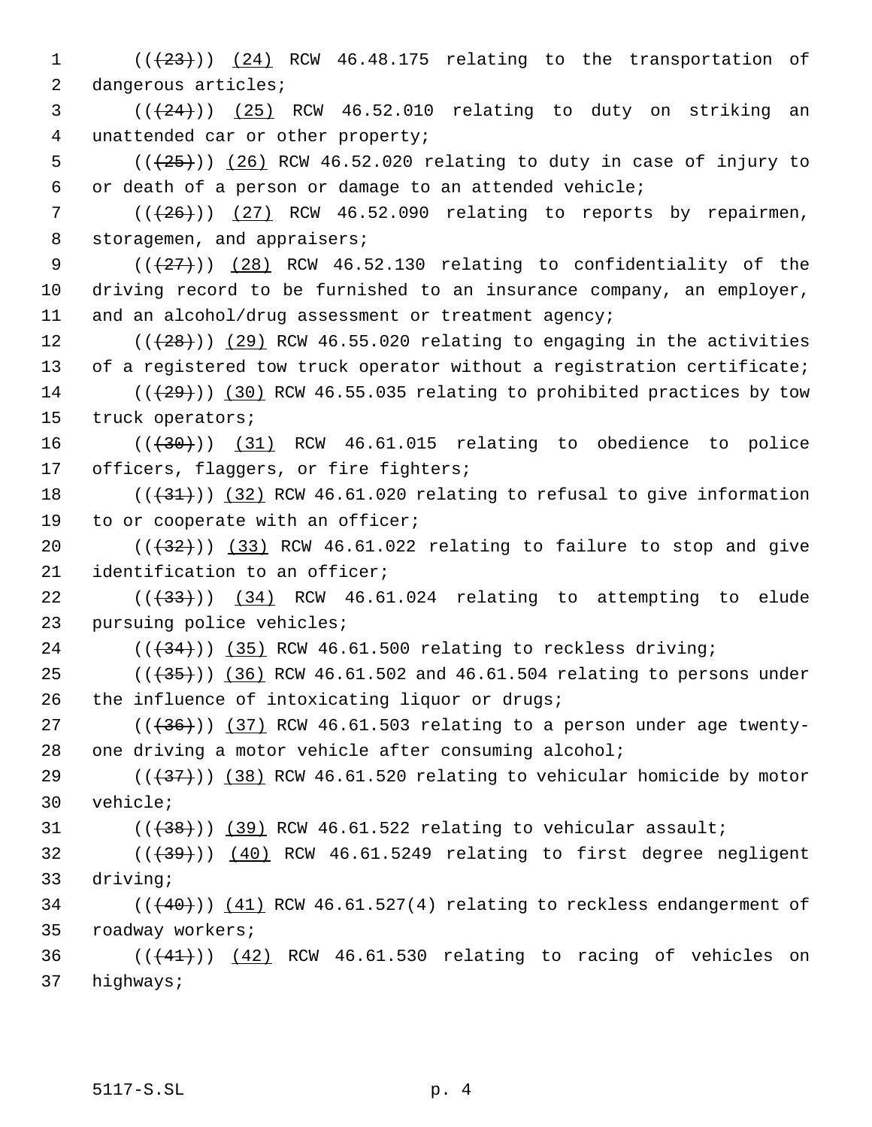1  $((+23))$   $(24)$  RCW 46.48.175 relating to the transportation of 2 dangerous articles;

 $(1 + 24)$ ) (25) RCW 46.52.010 relating to duty on striking an 4 unattended car or other property;

5  $((+25))$   $(26)$  RCW 46.52.020 relating to duty in case of injury to 6 or death of a person or damage to an attended vehicle;

7  $((+26))$  (27) RCW 46.52.090 relating to reports by repairmen, 8 storagemen, and appraisers;

9  $((+27))$   $(28)$  RCW 46.52.130 relating to confidentiality of the 10 driving record to be furnished to an insurance company, an employer, 11 and an alcohol/drug assessment or treatment agency;

12  $((+28))$   $(29)$  RCW 46.55.020 relating to engaging in the activities 13 of a registered tow truck operator without a registration certificate;

14  $((+29))$  (30) RCW 46.55.035 relating to prohibited practices by tow 15 truck operators;

16  $((+30))$   $(31)$  RCW 46.61.015 relating to obedience to police 17 officers, flaggers, or fire fighters;

18  $((+31))$   $(32)$  RCW 46.61.020 relating to refusal to give information 19 to or cooperate with an officer;

20  $((+32))$   $(33)$  RCW 46.61.022 relating to failure to stop and give 21 identification to an officer;

 $22$  ( $(\overline{33})$ )  $(34)$  RCW 46.61.024 relating to attempting to elude 23 pursuing police vehicles;

 $24$  ( $(\overline{34})$ ) (35) RCW 46.61.500 relating to reckless driving;

25 ( $(\frac{35}{10})$  (36) RCW 46.61.502 and 46.61.504 relating to persons under 26 the influence of intoxicating liquor or drugs;

27  $((+36))$   $(37)$  RCW 46.61.503 relating to a person under age twenty-28 one driving a motor vehicle after consuming alcohol;

29  $((+37))$   $(38)$  RCW 46.61.520 relating to vehicular homicide by motor 30 vehicle;

31  $((+38))$   $(39)$  RCW 46.61.522 relating to vehicular assault;

 $(1,39)$  ( $(40)$  RCW 46.61.5249 relating to first degree negligent 33 driving;

 $($  ( $($  $($  $($  $+$  $40$  $)$ ))  $($  $41)$  RCW 46.61.527(4) relating to reckless endangerment of 35 roadway workers;

 $36$  ( $(\frac{41}{1})$ )  $(42)$  RCW 46.61.530 relating to racing of vehicles on 37 highways;